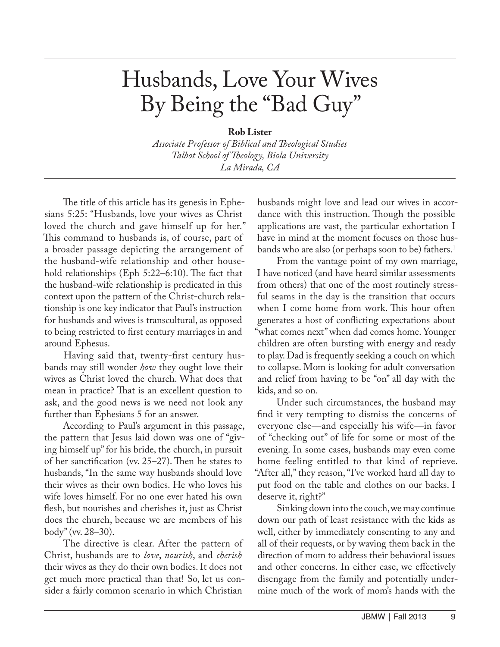## Husbands, Love Your Wives By Being the "Bad Guy"

## **Rob Lister**

*Associate Professor of Biblical and Theological Studies Talbot School of Theology, Biola University La Mirada, CA*

The title of this article has its genesis in Ephesians 5:25: "Husbands, love your wives as Christ loved the church and gave himself up for her." This command to husbands is, of course, part of a broader passage depicting the arrangement of the husband-wife relationship and other household relationships (Eph 5:22–6:10). The fact that the husband-wife relationship is predicated in this context upon the pattern of the Christ-church relationship is one key indicator that Paul's instruction for husbands and wives is transcultural, as opposed to being restricted to first century marriages in and around Ephesus.

Having said that, twenty-first century husbands may still wonder *how* they ought love their wives as Christ loved the church. What does that mean in practice? That is an excellent question to ask, and the good news is we need not look any further than Ephesians 5 for an answer.

According to Paul's argument in this passage, the pattern that Jesus laid down was one of "giving himself up" for his bride, the church, in pursuit of her sanctification (vv. 25–27). Then he states to husbands, "In the same way husbands should love their wives as their own bodies. He who loves his wife loves himself. For no one ever hated his own flesh, but nourishes and cherishes it, just as Christ does the church, because we are members of his body" (vv. 28–30).

The directive is clear. After the pattern of Christ, husbands are to *love*, *nourish*, and *cherish* their wives as they do their own bodies. It does not get much more practical than that! So, let us consider a fairly common scenario in which Christian

husbands might love and lead our wives in accordance with this instruction. Though the possible applications are vast, the particular exhortation I have in mind at the moment focuses on those husbands who are also (or perhaps soon to be) fathers.<sup>1</sup>

From the vantage point of my own marriage, I have noticed (and have heard similar assessments from others) that one of the most routinely stressful seams in the day is the transition that occurs when I come home from work. This hour often generates a host of conflicting expectations about "what comes next" when dad comes home. Younger children are often bursting with energy and ready to play. Dad is frequently seeking a couch on which to collapse. Mom is looking for adult conversation and relief from having to be "on" all day with the kids, and so on.

Under such circumstances, the husband may find it very tempting to dismiss the concerns of everyone else—and especially his wife—in favor of "checking out" of life for some or most of the evening. In some cases, husbands may even come home feeling entitled to that kind of reprieve. "After all," they reason, "I've worked hard all day to put food on the table and clothes on our backs. I deserve it, right?"

Sinking down into the couch, we may continue down our path of least resistance with the kids as well, either by immediately consenting to any and all of their requests, or by waving them back in the direction of mom to address their behavioral issues and other concerns. In either case, we effectively disengage from the family and potentially undermine much of the work of mom's hands with the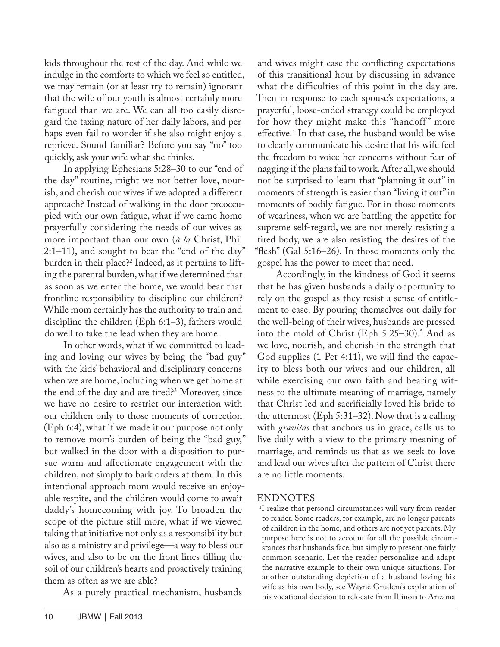kids throughout the rest of the day. And while we indulge in the comforts to which we feel so entitled, we may remain (or at least try to remain) ignorant that the wife of our youth is almost certainly more fatigued than we are. We can all too easily disregard the taxing nature of her daily labors, and perhaps even fail to wonder if she also might enjoy a reprieve. Sound familiar? Before you say "no" too quickly, ask your wife what she thinks.

In applying Ephesians 5:28–30 to our "end of the day" routine, might we not better love, nourish, and cherish our wives if we adopted a different approach? Instead of walking in the door preoccupied with our own fatigue, what if we came home prayerfully considering the needs of our wives as more important than our own (*à la* Christ, Phil 2:1–11), and sought to bear the "end of the day" burden in their place?<sup>2</sup> Indeed, as it pertains to lifting the parental burden, what if we determined that as soon as we enter the home, we would bear that frontline responsibility to discipline our children? While mom certainly has the authority to train and discipline the children (Eph 6:1–3), fathers would do well to take the lead when they are home.

In other words, what if we committed to leading and loving our wives by being the "bad guy" with the kids' behavioral and disciplinary concerns when we are home, including when we get home at the end of the day and are tired?3 Moreover, since we have no desire to restrict our interaction with our children only to those moments of correction (Eph 6:4), what if we made it our purpose not only to remove mom's burden of being the "bad guy," but walked in the door with a disposition to pursue warm and affectionate engagement with the children, not simply to bark orders at them. In this intentional approach mom would receive an enjoyable respite, and the children would come to await daddy's homecoming with joy. To broaden the scope of the picture still more, what if we viewed taking that initiative not only as a responsibility but also as a ministry and privilege—a way to bless our wives, and also to be on the front lines tilling the soil of our children's hearts and proactively training them as often as we are able?

As a purely practical mechanism, husbands

and wives might ease the conflicting expectations of this transitional hour by discussing in advance what the difficulties of this point in the day are. Then in response to each spouse's expectations, a prayerful, loose-ended strategy could be employed for how they might make this "handoff" more effective.4 In that case, the husband would be wise to clearly communicate his desire that his wife feel the freedom to voice her concerns without fear of nagging if the plans fail to work. After all, we should not be surprised to learn that "planning it out" in moments of strength is easier than "living it out" in moments of bodily fatigue. For in those moments of weariness, when we are battling the appetite for supreme self-regard, we are not merely resisting a tired body, we are also resisting the desires of the "flesh" (Gal 5:16–26). In those moments only the gospel has the power to meet that need.

Accordingly, in the kindness of God it seems that he has given husbands a daily opportunity to rely on the gospel as they resist a sense of entitlement to ease. By pouring themselves out daily for the well-being of their wives, husbands are pressed into the mold of Christ (Eph  $5:25-30$ ).<sup>5</sup> And as we love, nourish, and cherish in the strength that God supplies (1 Pet 4:11), we will find the capacity to bless both our wives and our children, all while exercising our own faith and bearing witness to the ultimate meaning of marriage, namely that Christ led and sacrificially loved his bride to the uttermost (Eph 5:31–32). Now that is a calling with *gravitas* that anchors us in grace, calls us to live daily with a view to the primary meaning of marriage, and reminds us that as we seek to love and lead our wives after the pattern of Christ there are no little moments.

## ENDNOTES

<sup>1</sup>I realize that personal circumstances will vary from reader to reader. Some readers, for example, are no longer parents of children in the home, and others are not yet parents. My purpose here is not to account for all the possible circumstances that husbands face, but simply to present one fairly common scenario. Let the reader personalize and adapt the narrative example to their own unique situations. For another outstanding depiction of a husband loving his wife as his own body, see Wayne Grudem's explanation of his vocational decision to relocate from Illinois to Arizona